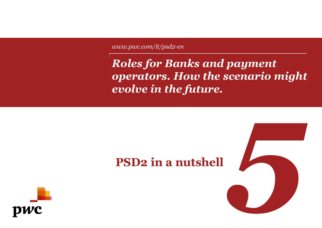*www.pwc.com/it/psd2-en*

*Roles for Banks and payment operators. How the scenario might evolve in the future.*



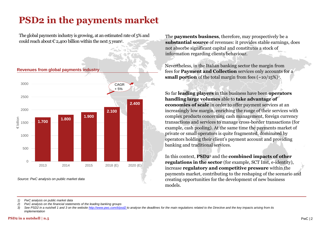## **PSD2 in the payments market**

The global payments industry is growing, at an estimated rate of 5% and could reach about  $\epsilon$  2,400 billion within the next 5 years<sup>1</sup>.



**Revenues from global payments industry**

The **payments business**, therefore, may prospectively be a **substantial source** of revenues: it provides stable earnings, does not absorbe significant capital and constitutes a stock of information regarding clients behaviour.

Nevertheless, in the Italian banking sector the margin from fees for **Payment and Collection** services only accounts for a **small portion** of the total margin from fees  $(\sim 10/15\%)^2$ .

So far **leading players** in this business have been **operators handling large volumes** able to **take advantage of economies of scale** in order to offer payment services at an increasingly low margin, enriching the range of their services with complex products concerning cash management, foreign currency transactions and services to manage cross-border transactions (for example, cash pooling). At the same time the payments market of private or small operators is quite fragmented, dominated by operators holding their client's payment account and providing banking and traditional services.

In this context, **PSD2**<sup>3</sup> and the **combined impacts of other regulations in the sector** (for example, SCT Inst, e-identity), increase **regulatory and competitive pressure** within the payments market, contributing to the reshaping of the scenario and creating opportunities for the development of new business models.

*1) PwC analysis on public market data*

*2) PwC analysis on the financial statements of the leading banking groups*

<sup>3)</sup> See PSD2 in a nutshell 1 and 3 on the website [http://www.pwc.com/it/psd2 t](http://www.pwc.com/it/psd2)o analyse the deadlines for the main requlations related to the Directive and the key impacts arising from its *implementation*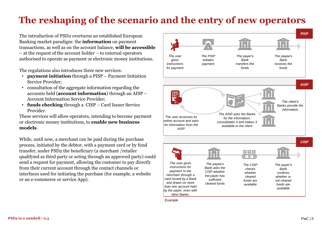## **The reshaping of the scenario and the entry of new operators**

The introduction of PSD2 overturns an established European Banking market paradigm: the **information** on payment transactions, as well as on the account balance, **will be accessible** – at the request of the account holder – to external operators authorised to operate as payment or electronic money institutions.

The regulations also introduces three new services:

- **payment initiation** through a PISP Payment Initiation Service Provider;
- consultation of the aggregate information regarding the accounts held (**account information**) through an AISP – Account Information Service Provider;
- **funds checking** through a CISP Card Issuer Service Provider.

These services will allow operators, intending to become payment or electronic money institutions, to **enable new business models**.

While, until now, a merchant can be paid during the purchase process, initiated by the debtor, with a payment card or by fund transfer, under PSD2 the beneficiary (a merchant /retailer qualifyied as third party or acting through an approved party) could send a request for payment, allowing the customer to pay directly from their current account through the contact channels or interfaces used for initiating the purchase (for example, a website or an e-commerce or service App).

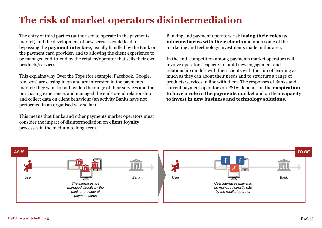## **The risk of market operators disintermediation**

The entry of third parties (authorised to operate in the payments market) and the development of new services could lead to bypassing the **payment interface**, usually handled by the Bank or the payment card provider, and to allowing the client experience to be managed end-to-end by the retailer/operator that sells their own products/services.

This explains why Over the Tops (for example, Facebook, Google, Amazon) are closing in on and are interested in the payments market: they want to both widen the range of their services and the purchasing experience, and managed the end-to-end relationship and collect data on client behaviour (an activity Banks have not performed in an organised way so far).

This means that Banks and other payments market operators must consider the impact of disintermediation on **client loyalty**  processes in the medium to long-term.

Banking and payment operators risk **losing their roles as intermediaries with their clients** and undo some of the marketing and technology investments made in this area.

In the end, competition among payments market operators will involve operators' capacity to build new engagement and relationship models with their clients with the aim of learning as much as they can about their needs and to structure a range of products/services in line with them. The responses of Banks and current payment operators on PSD2 depends on their **aspiration to have a role in the payments market** and on their **capacity to invest in new business and technology solutions.** 

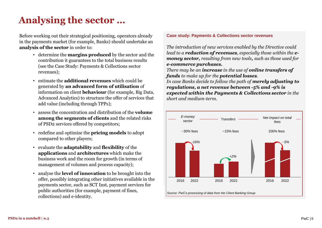## **Analysing the sector …**

Before working out their strategical positioning, operators already in the payments market (for example, Banks) should undertake an **analysis of the sector** in order to:

- determine the **margins produced** by the sector and the contribution it guarantees to the total business results (see the Case Study: Payments & Collections sector revenues);
- estimate the **additional revenues** which could be generated by **an advanced form of utilisation** of information on client **behaviour** (for example, Big Data, Advanced Analytics) to structure the offer of services that add value (including through TPPs);
- assess the concentration and distribution of the **volume among the segments of clients** and the related risks of PSD2 services offered by competitors;
- redefine and optimize the **pricing models** to adopt compared to other players;
- evaluate the **adaptability** and **flexibility** of the **applications** and **architectures** which make the business work and the room for growth (in terms of management of volumes and process capacity);
- analyse the **level of innovation** to be brought into the offer, possibly integrating other initiatives available in the payments sector, such as SCT Inst, payment services for public authorities (for example, payment of fines, collections) and e-identity.

#### **Case study: Payments & Collections sector revenues**

*The introduction of new services enabled by the Directive could lead to a reduction of revenues, especially those within the emoney sector, resulting from new tools, such as those used for e-commerce purchases.*

*There may be an increase in the use of online transfers of funds to make up for the potential losses.* 

*In case Banks decide to follow the path of merely adjusting to regulations, a net revenue between -5% and -9% is expected within the Payments & Collections sector in the short and medium-term.*

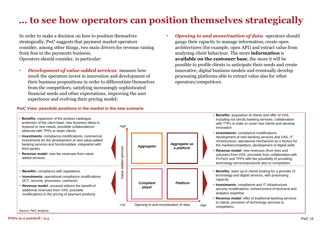### **… to see how operators can position themselves strategically**

In order to make a decision on how to position themselves strategically, PwC suggests that payment market operators consider, among other things, two main drivers for revenue raising from fees in the payments business. Operators should consider, in particular:

- *Development of value-added services:* measure how much the operators invest in innovation and development of their business propositions in order to differentiate themselves from the competitors, satisfying increasingly sophisticated financial needs and other expectations, improving the user experience and evolving their pricing model;
- *Opening to and monetisation of data:* operators should gauge their capacity to manage information, create open architectures (for example, open API) and extract value from analysing client behaviour. The more **information** is **available on the customer base**, the more it will be possible to profile clients to anticipate their needs and create innovative, digital business models and eventually develop processing platforms able to extract value also for other operators/competitors.

#### **PwC View: possibile positions in the market in the new scenario**



- **Benefits**: acquisition of clients and offer of VAS, including not strictly banking services, collaboration with TTPs in order to cover new clients and develop innovation
- **Investments**: compliance modifications, development of new banking services and VAS, IT infrastructure, operational mechanism as a factory for the market/competitors, development of digital skills
- **Revenue model**: new revenues (from fees and volumes) from VAS, proceeds from collaboration with FinTech and TPPs with the possibility of providing technology services/products also to competitors
- **Benefits**: open up to clients looking for a provider of technology and digital services, with processing capacity
- **Investments**: compliance and IT infrastructure security modifications, enhancement of technical and analytics expertise
- **Revenue model**: offer of traditional banking services to clients, provision of technology services to competitors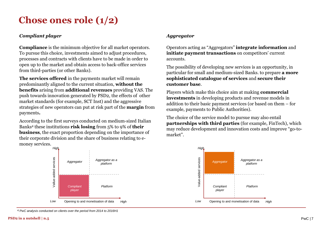### **Chose ones role (1/2)**

### *Compliant player*

**Compliance** is the minimum objective for all market operators. To pursue this choice, investments aimed to adjust procedures, processes and contracts with clients have to be made in order to open up to the market and obtain access to back-office services from third-parties (or other Banks).

**The services offered** in the payments market will remain predominantly aligned to the current situation, **without the benefits** arising from **additional revenues** providing VAS. The push towards innovation generated by PSD2, the effects of other market standards (for example, SCT Inst) and the aggressive strategies of new operators can put at risk part of the **margin** from payments**.**

According to the first surveys conducted on medium-sized Italian Banks<sup>4</sup> these institutions **risk losing** from 5% to 9% of **their business**, the exact proportion depending on the importance of their corporate division and the share of business relating to emoney services.



*<sup>4)</sup> PwC analysis conducted on clients over the period from 2014 to 2016H1*

Operators acting as "Aggregators" **integrate information** and **initiate payment transactions** on competitors' current accounts.

The possibility of developing new services is an opportunity, in particular for small and medium-sized Banks. to prepare **a more sophisticated catalogue of services** and **secure their customer base**.

Players which make this choice aim at making **commercial investments** in developing products and revenue models in addition to their basic payment services (or based on them – for example, payments to Public Authorities).

The choice of the service model to pursue may also entail **partnerships with third parties** (for example, FinTech), which may reduce development and innovation costs and improve "go-tomarket".

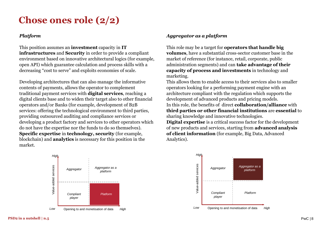### **Chose ones role (2/2)**

#### *Platform*

This position assumes an **investment** capacity in **IT infrastructures** and **Security** in order to provide a compliant environment based on innovative architectural logics (for example, open API) which guarantee calculation and process skills with a decreasing "cost to serve" and exploits economies of scale.

Developing architectures that can also manage the informative contents of payments, allows the operator to complement traditional payment services with **digital services**, reaching a digital clients base and to widen their target also to other financial operators and/or Banks (for example, development of B2B services: offering the technological environment to third parties, providing outsourced auditing and compliance services or developing a product factory and services to other operators which do not have the expertise nor the funds to do so themselves). **Specific expertise** in **technology, security** (for example, blockchain) and **analytics** is necessary for this position in the market.



### *Aggregator as a platform*

This role may be a target for **operators that handle big volumes**, have a substantial cross-sector customer base in the market of reference (for instance, retail, corporate, public administration segments) and can **take advantage of their capacity of process and investments** in technology and marketing.

This allows them to enable access to their services also to smaller operators looking for a performing payment engine with an architecture compliant with the regulation which supports the development of advanced products and pricing models. In this role, the benefits of direct **collaboration/alliance** with **third parties or other financial institutions** are **essential** to sharing knowledge and innovative technologies.

**Digital expertise** is a critical success factor for the development of new products and services, starting from **advanced analysis of client information** (for example, Big Data, Advanced Analytics).

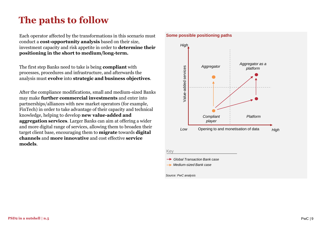### **The paths to follow**

Each operator affected by the transformations in this scenario must conduct a **cost-opportunity analysis** based on their size, investment capacity and risk appetite in order to **determine their positioning in the short to medium/long-term.**

The first step Banks need to take is being **compliant** with processes, procedures and infrastructure, and afterwards the analysis must **evolve** into **strategic and business objectives**.

After the compliance modifications, small and medium-sized Banks may make **further commercial investments** and enter into partnerships/alliances with new market operators (for example, FinTech) in order to take advantage of their capacity and technical knowledge, helping to develop **new value-added and aggregation services**. Larger Banks can aim at offering a wider and more digital range of services, allowing them to broaden their target client base, encouraging them to **migrate** towards **digital channels** and **more innovative** and cost effective **service models**.



#### **Some possible positioning paths**

Key

*Global Transaction Bank case*

*Medium-sized Bank case*

#### *Source: PwC analysis*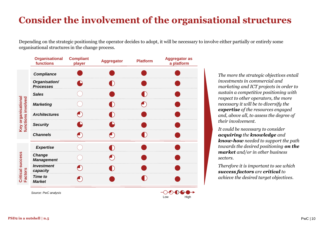## **Consider the involvement of the organisational structures**

Depending on the strategic positioning the operator decides to adopt, it will be necessary to involve either partially or entirely some organisational structures in the change process.

Low High

|                                          | <b>Organisational</b><br><b>functions</b> | <b>Compliant</b><br>player | <b>Aggregator</b> | <b>Platform</b> | <b>Aggregator as</b><br>a platform |
|------------------------------------------|-------------------------------------------|----------------------------|-------------------|-----------------|------------------------------------|
| Key organisational<br>functions involved | <b>Compliance</b>                         |                            |                   |                 |                                    |
|                                          | Organisation/<br><b>Processes</b>         |                            |                   |                 |                                    |
|                                          | <b>Sales</b>                              |                            |                   |                 |                                    |
|                                          | <b>Marketing</b>                          |                            |                   |                 |                                    |
|                                          | <b>Architectures</b>                      |                            |                   |                 |                                    |
|                                          | <b>Security</b>                           |                            |                   |                 |                                    |
|                                          | <b>Channels</b>                           |                            |                   |                 |                                    |
| Critical success<br><b>Factors</b>       | <b>Expertise</b>                          |                            | $\blacksquare$    |                 |                                    |
|                                          | <b>Change</b><br><b>Management</b>        |                            |                   |                 |                                    |
|                                          | <b>Investment</b><br>capacity             |                            |                   |                 |                                    |
|                                          | <b>Time to</b><br><b>Market</b>           |                            |                   |                 |                                    |
|                                          | Source: PwC analysis                      |                            |                   |                 |                                    |

*The more the strategic objectives entail investments in commercial and marketing and ICT projects in order to sustain a competitive positioning with respect to other operators, the more necessary it will be to diversify the expertise of the resources engaged and, above all, to assess the degree of their involvement.* 

*It could be necessary to consider acquiring the knowledge and know-how needed to support the path towards the desired positioning on the market and/or in other business sectors.*

*Therefore it is important to see which success factors are critical to achieve the desired target objectives.*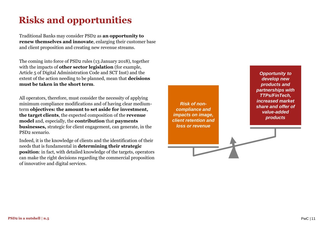# **Risks and opportunities**

Traditional Banks may consider PSD2 as **an opportunity to renew themselves and innovate**, enlarging their customer base and client proposition and creating new revenue streams.

The coming into force of PSD2 rules (13 January 2018), together with the impacts of **other sector legislation** (for example, Article 5 of Digital Administration Code and SCT Inst) and the extent of the action needing to be planned, mean that **decisions must be taken in the short term**.

All operators, therefore, must consider the necessity of applying minimum compliance modifications and of having clear mediumterm **objectives: the amount to set aside for investment, the target clients**, the expected composition of the **revenue model** and, especially, the **contribution** that **payments businesses,** strategic for client engagement, can generate, in the PSD2 scenario.

Indeed, it is the knowledge of clients and the identification of their needs that is fundamental in **determining their strategic position**: in fact, with detailed knowledge of the targets, operators can make the right decisions regarding the commercial proposition of innovative and digital services.

*Risk of noncompliance and impacts on image, client retention and loss or revenue*

*Opportunity to develop new products and partnerships with TTPs/FinTech, increased market share and offer of value-added products*